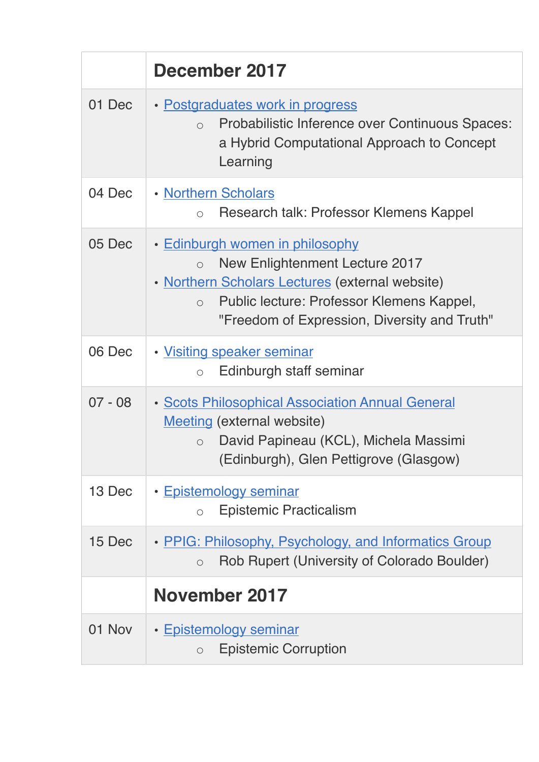|           | December 2017                                                                                                                                                                                                                                     |
|-----------|---------------------------------------------------------------------------------------------------------------------------------------------------------------------------------------------------------------------------------------------------|
| 01 Dec    | • Postgraduates work in progress<br>Probabilistic Inference over Continuous Spaces:<br>$\bigcirc$<br>a Hybrid Computational Approach to Concept<br>Learning                                                                                       |
| 04 Dec    | . Northern Scholars<br>Research talk: Professor Klemens Kappel<br>$\bigcirc$                                                                                                                                                                      |
| 05 Dec    | • Edinburgh women in philosophy<br><b>New Enlightenment Lecture 2017</b><br>$\bigcirc$<br>• Northern Scholars Lectures (external website)<br>Public lecture: Professor Klemens Kappel,<br>$\circ$<br>"Freedom of Expression, Diversity and Truth" |
| 06 Dec    | · Visiting speaker seminar<br>Edinburgh staff seminar<br>$\circ$                                                                                                                                                                                  |
| $07 - 08$ | <b>· Scots Philosophical Association Annual General</b><br><b>Meeting (external website)</b><br>David Papineau (KCL), Michela Massimi<br>$\bigcap$<br>(Edinburgh), Glen Pettigrove (Glasgow)                                                      |
| 13 Dec    | • Epistemology seminar<br><b>Epistemic Practicalism</b><br>$\bigcirc$                                                                                                                                                                             |
| 15 Dec    | • PPIG: Philosophy, Psychology, and Informatics Group<br>Rob Rupert (University of Colorado Boulder)<br>$\circ$                                                                                                                                   |
|           | November 2017                                                                                                                                                                                                                                     |
| 01 Nov    | • Epistemology seminar<br><b>Epistemic Corruption</b><br>$\circ$                                                                                                                                                                                  |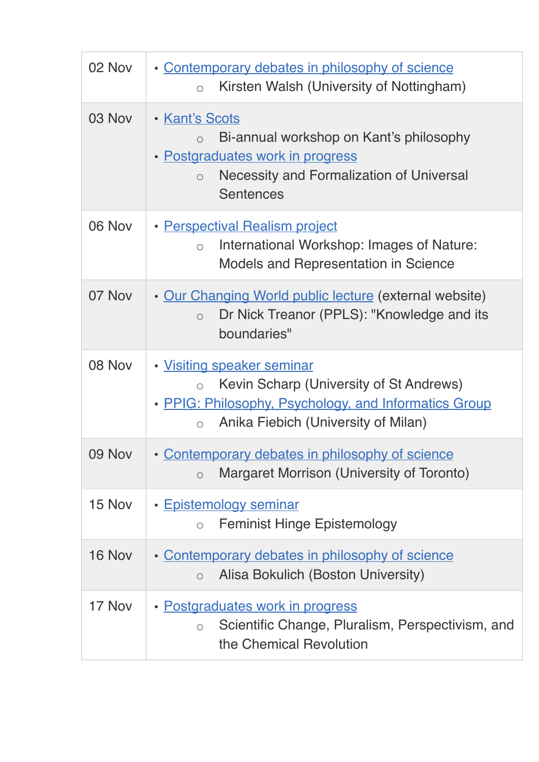| 02 Nov | · Contemporary debates in philosophy of science<br>Kirsten Walsh (University of Nottingham)<br>$\circ$                                                                                        |
|--------|-----------------------------------------------------------------------------------------------------------------------------------------------------------------------------------------------|
| 03 Nov | • Kant's Scots<br>Bi-annual workshop on Kant's philosophy<br>$\bigcirc$<br>· Postgraduates work in progress<br><b>Necessity and Formalization of Universal</b><br>$\circ$<br><b>Sentences</b> |
| 06 Nov | • Perspectival Realism project<br>International Workshop: Images of Nature:<br>$\circ$<br><b>Models and Representation in Science</b>                                                         |
| 07 Nov | . Our Changing World public lecture (external website)<br>Dr Nick Treanor (PPLS): "Knowledge and its<br>$\circ$<br>boundaries"                                                                |
| 08 Nov | • Visiting speaker seminar<br>Kevin Scharp (University of St Andrews)<br>$\circ$<br>• PPIG: Philosophy, Psychology, and Informatics Group<br>Anika Fiebich (University of Milan)<br>$\circ$   |
| 09 Nov | Contemporary debates in philosophy of science<br>$\bullet$<br>Margaret Morrison (University of Toronto)<br>$\circ$                                                                            |
| 15 Nov | • Epistemology seminar<br><b>Feminist Hinge Epistemology</b><br>$\bigcirc$                                                                                                                    |
| 16 Nov | • Contemporary debates in philosophy of science<br>Alisa Bokulich (Boston University)<br>$\circ$                                                                                              |
| 17 Nov | • Postgraduates work in progress<br>Scientific Change, Pluralism, Perspectivism, and<br>$\bigcirc$<br>the Chemical Revolution                                                                 |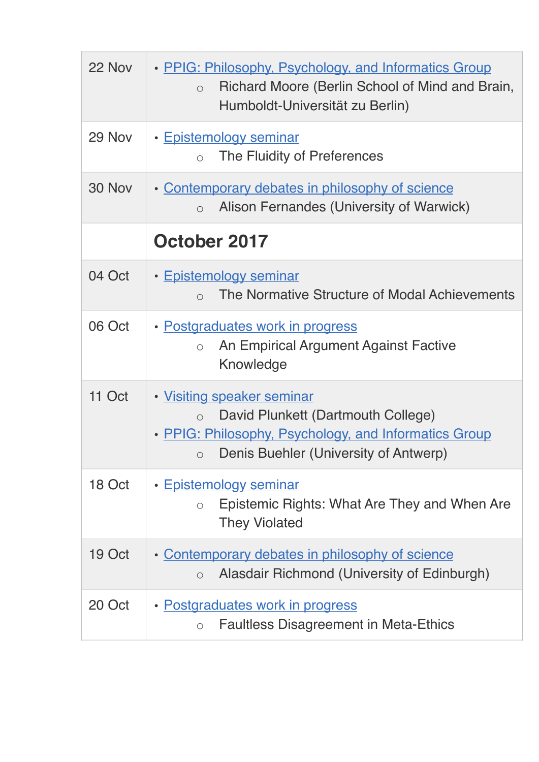| 22 Nov | • PPIG: Philosophy, Psychology, and Informatics Group<br>Richard Moore (Berlin School of Mind and Brain,<br>$\circ$<br>Humboldt-Universität zu Berlin)                                     |
|--------|--------------------------------------------------------------------------------------------------------------------------------------------------------------------------------------------|
| 29 Nov | • Epistemology seminar<br>The Fluidity of Preferences<br>$\bigcirc$                                                                                                                        |
| 30 Nov | • Contemporary debates in philosophy of science<br>Alison Fernandes (University of Warwick)<br>$\circ$                                                                                     |
|        | October 2017                                                                                                                                                                               |
| 04 Oct | • Epistemology seminar<br>The Normative Structure of Modal Achievements<br>$\bigcap$                                                                                                       |
| 06 Oct | • Postgraduates work in progress<br>An Empirical Argument Against Factive<br>$\circ$<br>Knowledge                                                                                          |
| 11 Oct | . Visiting speaker seminar<br>David Plunkett (Dartmouth College)<br>$\circ$<br>• PPIG: Philosophy, Psychology, and Informatics Group<br>Denis Buehler (University of Antwerp)<br>$\bigcap$ |
| 18 Oct | • Epistemology seminar<br>Epistemic Rights: What Are They and When Are<br>$\circ$<br><b>They Violated</b>                                                                                  |
| 19 Oct | • Contemporary debates in philosophy of science<br>Alasdair Richmond (University of Edinburgh)<br>$\circ$                                                                                  |
| 20 Oct | • Postgraduates work in progress<br><b>Faultless Disagreement in Meta-Ethics</b><br>$\circ$                                                                                                |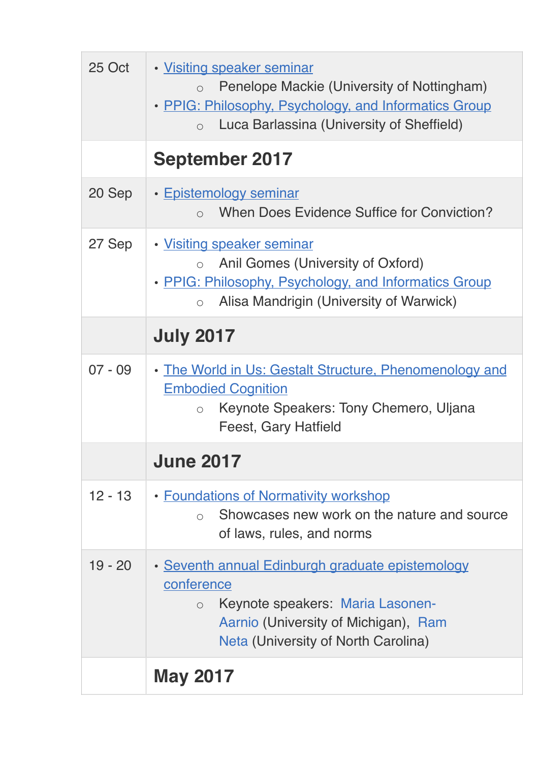| 25 Oct    | · Visiting speaker seminar<br>Penelope Mackie (University of Nottingham)<br>$\bigcirc$<br>• PPIG: Philosophy, Psychology, and Informatics Group<br>Luca Barlassina (University of Sheffield)<br>$\bigcirc$ |
|-----------|------------------------------------------------------------------------------------------------------------------------------------------------------------------------------------------------------------|
|           | <b>September 2017</b>                                                                                                                                                                                      |
| 20 Sep    | • Epistemology seminar<br>When Does Evidence Suffice for Conviction?<br>$\bigcap$                                                                                                                          |
| 27 Sep    | • Visiting speaker seminar<br>Anil Gomes (University of Oxford)<br>$\bigcap$<br>• PPIG: Philosophy, Psychology, and Informatics Group<br>Alisa Mandrigin (University of Warwick)<br>$\bigcap$              |
|           | <b>July 2017</b>                                                                                                                                                                                           |
| $07 - 09$ | • The World in Us: Gestalt Structure, Phenomenology and<br><b>Embodied Cognition</b><br>Keynote Speakers: Tony Chemero, Uljana<br>$\circ$<br><b>Feest, Gary Hatfield</b>                                   |
|           | <b>June 2017</b>                                                                                                                                                                                           |
| $12 - 13$ | • Foundations of Normativity workshop<br>Showcases new work on the nature and source<br>$\bigcirc$<br>of laws, rules, and norms                                                                            |
| $19 - 20$ | • Seventh annual Edinburgh graduate epistemology<br>conference<br>Keynote speakers: Maria Lasonen-<br>$\circ$<br>Aarnio (University of Michigan), Ram<br>Neta (University of North Carolina)               |
|           | <b>May 2017</b>                                                                                                                                                                                            |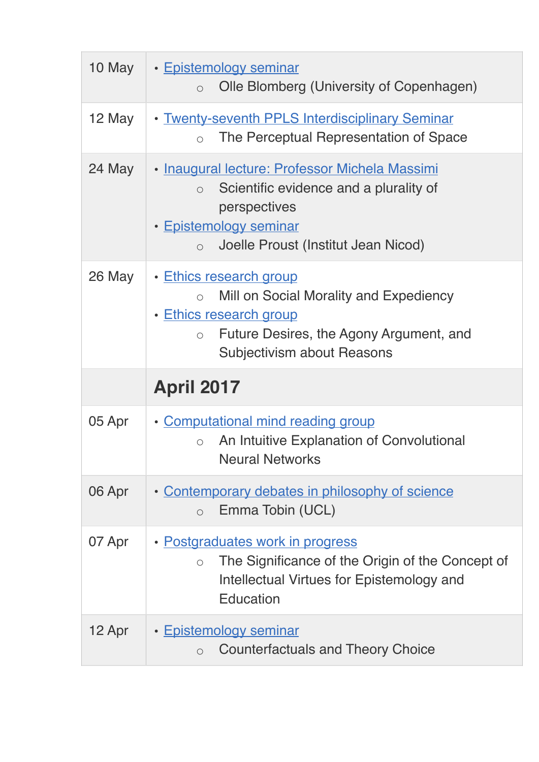| 10 May | • Epistemology seminar<br>Olle Blomberg (University of Copenhagen)<br>$\circ$                                                                                                                   |
|--------|-------------------------------------------------------------------------------------------------------------------------------------------------------------------------------------------------|
| 12 May | • Twenty-seventh PPLS Interdisciplinary Seminar<br>The Perceptual Representation of Space<br>$\bigcirc$                                                                                         |
| 24 May | · Inaugural lecture: Professor Michela Massimi<br>Scientific evidence and a plurality of<br>$\circ$<br>perspectives<br>• Epistemology seminar<br>Joelle Proust (Institut Jean Nicod)<br>$\circ$ |
| 26 May | • Ethics research group<br>Mill on Social Morality and Expediency<br>• Ethics research group<br>Future Desires, the Agony Argument, and<br>$\circ$<br>Subjectivism about Reasons                |
|        |                                                                                                                                                                                                 |
|        | <b>April 2017</b>                                                                                                                                                                               |
| 05 Apr | • Computational mind reading group<br>An Intuitive Explanation of Convolutional<br>$\bigcap$<br><b>Neural Networks</b>                                                                          |
| 06 Apr | • Contemporary debates in philosophy of science<br>Emma Tobin (UCL)<br>$\circ$                                                                                                                  |
| 07 Apr | • Postgraduates work in progress<br>The Significance of the Origin of the Concept of<br>$\bigcirc$<br>Intellectual Virtues for Epistemology and<br><b>Education</b>                             |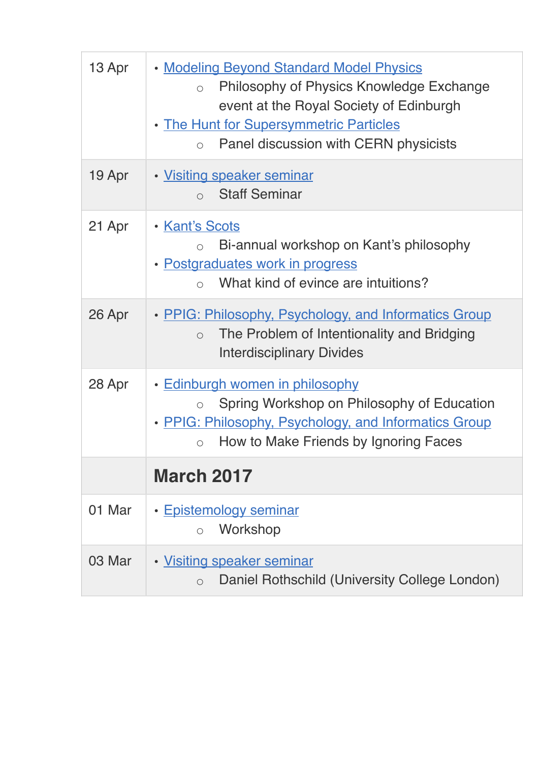| 13 Apr | • Modeling Beyond Standard Model Physics<br>Philosophy of Physics Knowledge Exchange<br>$\circ$<br>event at the Royal Society of Edinburgh<br>. The Hunt for Supersymmetric Particles<br>Panel discussion with CERN physicists<br>$\bigcirc$ |
|--------|----------------------------------------------------------------------------------------------------------------------------------------------------------------------------------------------------------------------------------------------|
| 19 Apr | · Visiting speaker seminar<br><b>Staff Seminar</b><br>$\bigcap$                                                                                                                                                                              |
| 21 Apr | • Kant's Scots<br>Bi-annual workshop on Kant's philosophy<br>$\bigcirc$<br>· Postgraduates work in progress<br>What kind of evince are intuitions?<br>$\bigcap$                                                                              |
| 26 Apr | • PPIG: Philosophy, Psychology, and Informatics Group<br>The Problem of Intentionality and Bridging<br>$\bigcirc$<br><b>Interdisciplinary Divides</b>                                                                                        |
| 28 Apr | <u>• Edinburgh women in philosophy</u><br>Spring Workshop on Philosophy of Education<br>• PPIG: Philosophy, Psychology, and Informatics Group<br>How to Make Friends by Ignoring Faces<br>$\bigcirc$                                         |
|        | <b>March 2017</b>                                                                                                                                                                                                                            |
| 01 Mar | • Epistemology seminar<br>Workshop<br>$\bigcap$                                                                                                                                                                                              |
| 03 Mar | · Visiting speaker seminar<br>Daniel Rothschild (University College London)<br>$\circ$                                                                                                                                                       |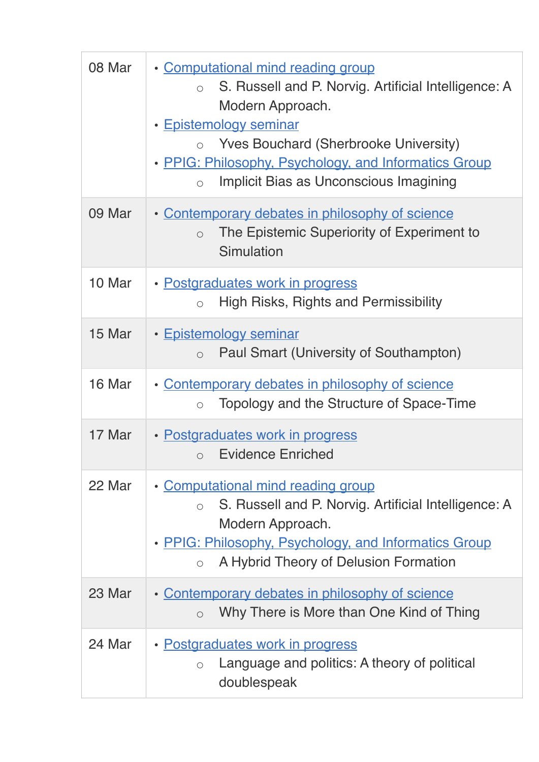| 08 Mar | • Computational mind reading group<br>S. Russell and P. Norvig. Artificial Intelligence: A<br>$\bigcirc$<br>Modern Approach.<br>• Epistemology seminar<br><b>Yves Bouchard (Sherbrooke University)</b><br>• PPIG: Philosophy, Psychology, and Informatics Group<br>Implicit Bias as Unconscious Imagining<br>$\circ$ |
|--------|----------------------------------------------------------------------------------------------------------------------------------------------------------------------------------------------------------------------------------------------------------------------------------------------------------------------|
| 09 Mar | • Contemporary debates in philosophy of science<br>The Epistemic Superiority of Experiment to<br>$\circ$<br>Simulation                                                                                                                                                                                               |
| 10 Mar | • Postgraduates work in progress<br>High Risks, Rights and Permissibility<br>$\bigcirc$                                                                                                                                                                                                                              |
| 15 Mar | • Epistemology seminar<br>Paul Smart (University of Southampton)<br>$\circ$                                                                                                                                                                                                                                          |
| 16 Mar | • Contemporary debates in philosophy of science<br>Topology and the Structure of Space-Time<br>$\circ$                                                                                                                                                                                                               |
| 17 Mar | • Postgraduates work in progress<br><b>Evidence Enriched</b><br>$\circ$                                                                                                                                                                                                                                              |
| 22 Mar | • Computational mind reading group<br>S. Russell and P. Norvig. Artificial Intelligence: A<br>$\circ$<br>Modern Approach.<br>• PPIG: Philosophy, Psychology, and Informatics Group<br>A Hybrid Theory of Delusion Formation<br>$\bigcirc$                                                                            |
| 23 Mar | • Contemporary debates in philosophy of science<br>Why There is More than One Kind of Thing<br>$\circ$                                                                                                                                                                                                               |
| 24 Mar | • Postgraduates work in progress<br>Language and politics: A theory of political<br>$\circ$<br>doublespeak                                                                                                                                                                                                           |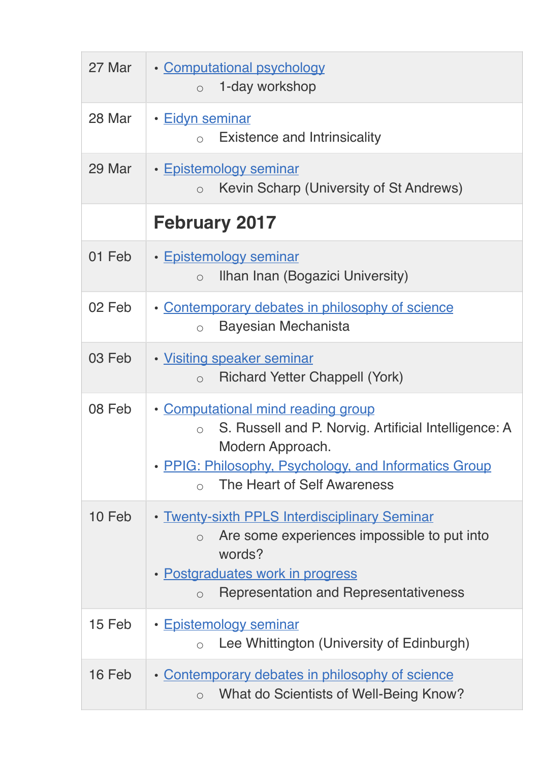| 27 Mar | • Computational psychology<br>1-day workshop<br>$\circ$                                                                                                                                                                        |
|--------|--------------------------------------------------------------------------------------------------------------------------------------------------------------------------------------------------------------------------------|
| 28 Mar | • Eidyn seminar<br><b>Existence and Intrinsicality</b><br>$\bigcap$                                                                                                                                                            |
| 29 Mar | • Epistemology seminar<br>Kevin Scharp (University of St Andrews)<br>$\circ$                                                                                                                                                   |
|        | <b>February 2017</b>                                                                                                                                                                                                           |
| 01 Feb | • Epistemology seminar<br>Ilhan Inan (Bogazici University)<br>$\circ$                                                                                                                                                          |
| 02 Feb | • Contemporary debates in philosophy of science<br>Bayesian Mechanista<br>$\circ$                                                                                                                                              |
| 03 Feb | • Visiting speaker seminar<br><b>Richard Yetter Chappell (York)</b><br>$\circ$                                                                                                                                                 |
| 08 Feb | • Computational mind reading group<br>S. Russell and P. Norvig. Artificial Intelligence: A<br>$\circ$<br>Modern Approach.<br>• PPIG: Philosophy, Psychology, and Informatics Group<br>The Heart of Self Awareness<br>$\bigcap$ |
| 10 Feb | • Twenty-sixth PPLS Interdisciplinary Seminar<br>Are some experiences impossible to put into<br>$\bigcirc$<br>words?<br>• Postgraduates work in progress<br>Representation and Representativeness<br>$\circ$                   |
| 15 Feb | • Epistemology seminar<br>Lee Whittington (University of Edinburgh)<br>$\bigcirc$                                                                                                                                              |
| 16 Feb | • Contemporary debates in philosophy of science<br>What do Scientists of Well-Being Know?<br>$\circ$                                                                                                                           |